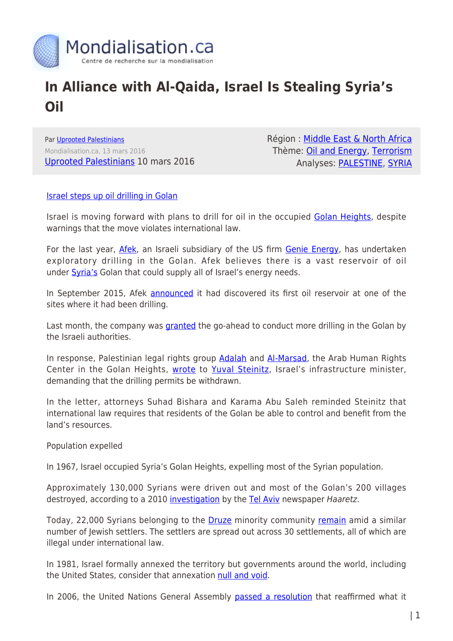

## **In Alliance with Al-Qaida, Israel Is Stealing Syria's Oil**

Par [Uprooted Palestinians](https://www.mondialisation.ca/author/uprooted-palestinians) Mondialisation.ca, 13 mars 2016 [Uprooted Palestinians](https://uprootedpalestinians.wordpress.com/2016/03/10/in-alliance-with-al-qaida-israel-is-stealing-syrias-oil/) 10 mars 2016 Région : [Middle East & North Africa](https://www.mondialisation.ca/region/middle-east) Thème: [Oil and Energy](https://www.mondialisation.ca/theme/oil-and-energy), [Terrorism](https://www.mondialisation.ca/theme/9-11-war-on-terrorism) Analyses: [PALESTINE](https://www.mondialisation.ca/indepthreport/palestine), [SYRIA](https://www.mondialisation.ca/indepthreport/syria-nato-s-next-war)

## [Israel steps up oil drilling in Golan](https://www.google.co.uk/url?sa=t&rct=j&q=&esrc=s&source=web&cd=1&cad=rja&uact=8&ved=0ahUKEwi_jbD06bXLAhUCqxoKHUasDGgQqQIIJDAA&url=https%3A%2F%2Felectronicintifada.net%2Fblogs%2Fcharlotte-silver%2Fisrael-steps-oil-drilling-golan&usg=AFQjCNGYhlv9WtO26I0Xg3p_uflsel6I-g&bvm=bv.116573086,d.bGs)

Israel is moving forward with plans to drill for oil in the occupied [Golan Heights,](https://electronicintifada.net/tags/golan-heights) despite warnings that the move violates international law.

For the last year, [Afek](https://electronicintifada.net/tags/afek-oil-and-gas), an Israeli subsidiary of the US firm [Genie Energy](https://electronicintifada.net/tags/genie-energy), has undertaken exploratory drilling in the Golan. Afek believes there is a vast reservoir of oil under [Syria's](https://electronicintifada.net/tags/syria) Golan that could supply all of Israel's energy needs.

In September 2015, Afek **announced** it had discovered its first oil reservoir at one of the sites where it had been drilling.

Last month, the company was *granted* the go-ahead to conduct more drilling in the Golan by the Israeli authorities.

In response, Palestinian legal rights group **Adalah** and [Al-Marsad](https://electronicintifada.net/tags/al-marsad), the Arab Human Rights Center in the Golan Heights, [wrote](http://www.adalah.org/en/content/view/8755) to [Yuval Steinitz,](https://electronicintifada.net/tags/yuval-steinitz) Israel's infrastructure minister, demanding that the drilling permits be withdrawn.

In the letter, attorneys Suhad Bishara and Karama Abu Saleh reminded Steinitz that international law requires that residents of the Golan be able to control and benefit from the land's resources.

Population expelled

In 1967, Israel occupied Syria's Golan Heights, expelling most of the Syrian population.

Approximately 130,000 Syrians were driven out and most of the Golan's 200 villages destroyed, according to a 2010 [investigation](http://www.haaretz.com/israel-news/the-disinherited-1.304959) by the [Tel Aviv](https://electronicintifada.net/tags/tel-aviv) newspaper Haaretz.

Today, 22,000 Syrians belonging to the [Druze](https://electronicintifada.net/tags/druze) minority community [remain](http://www.middleeasteye.net/news/israel-stakes-claim-golan-after-oil-find-913890970) amid a similar number of Jewish settlers. The settlers are spread out across 30 settlements, all of which are illegal under international law.

In 1981, Israel formally annexed the territory but governments around the world, including the United States, consider that annexation [null and void.](http://www.yale.edu/lawweb/avalon/un/un497.htm)

In 2006, the United Nations General Assembly [passed a resolution](http://www.un.org/en/ga/search/view_doc.asp?symbol=A/RES/61/184&Lang=E) that reaffirmed what it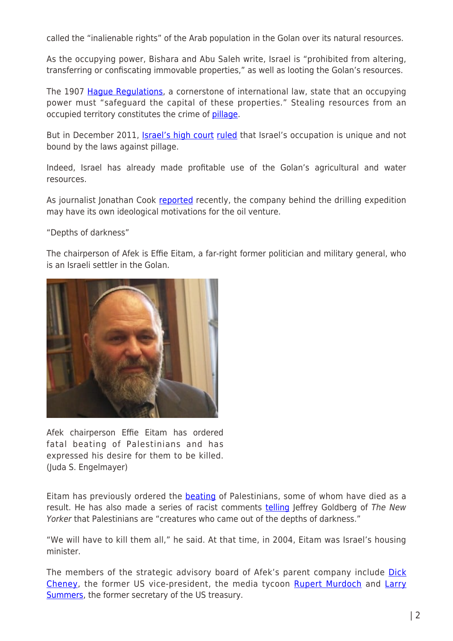called the "inalienable rights" of the Arab population in the Golan over its natural resources.

As the occupying power, Bishara and Abu Saleh write, Israel is "prohibited from altering, transferring or confiscating immovable properties," as well as looting the Golan's resources.

The 1907 [Hague Regulations](https://www.icrc.org/applic/ihl/ihl.nsf/0/1d1726425f6955aec125641e0038bfd6), a cornerstone of international law, state that an occupying power must "safeguard the capital of these properties." Stealing resources from an occupied territory constitutes the crime of [pillage.](https://electronicintifada.net/tags/pillage)

But in December 2011, *[Israel's high court](https://electronicintifada.net/tags/israeli-high-court) [ruled](https://electronicintifada.net/content/stealing-palestines-resources-illegal-despite-israeli-court-ruling/10904)* that Israel's occupation is unique and not bound by the laws against pillage.

Indeed, Israel has already made profitable use of the Golan's agricultural and water resources.

As journalist Jonathan Cook [reported](http://www.middleeasteye.net/news/israel-stakes-claim-golan-after-oil-find-913890970) recently, the company behind the drilling expedition may have its own ideological motivations for the oil venture.

"Depths of darkness"

The chairperson of Afek is Effie Eitam, a far-right former politician and military general, who is an Israeli settler in the Golan.



Afek chairperson Effie Eitam has ordered fatal beating of Palestinians and has expressed his desire for them to be killed. (Juda S. Engelmayer)

Eitam has previously ordered the [beating](https://electronicintifada.net/content/we-will-have-kill-them-all-effie-eitam-thug-messiah/8555) of Palestinians, some of whom have died as a result. He has also made a series of racist comments [telling](http://www.jeffreygoldberg.net/articles/tny/a_reporter_at_large_among_the.php) leffrey Goldberg of The New Yorker that Palestinians are "creatures who came out of the depths of darkness."

"We will have to kill them all," he said. At that time, in 2004, Eitam was Israel's housing minister.

The members of the strategic advisory board of Afek's parent company include [Dick](https://electronicintifada.net/tags/dick-cheney) [Cheney](https://electronicintifada.net/tags/dick-cheney), the former US vice-president, the media tycoon [Rupert Murdoch](https://electronicintifada.net/tags/rupert-murdoch) and [Larry](https://electronicintifada.net/tags/larry-summers) [Summers](https://electronicintifada.net/tags/larry-summers), the former secretary of the US treasury.